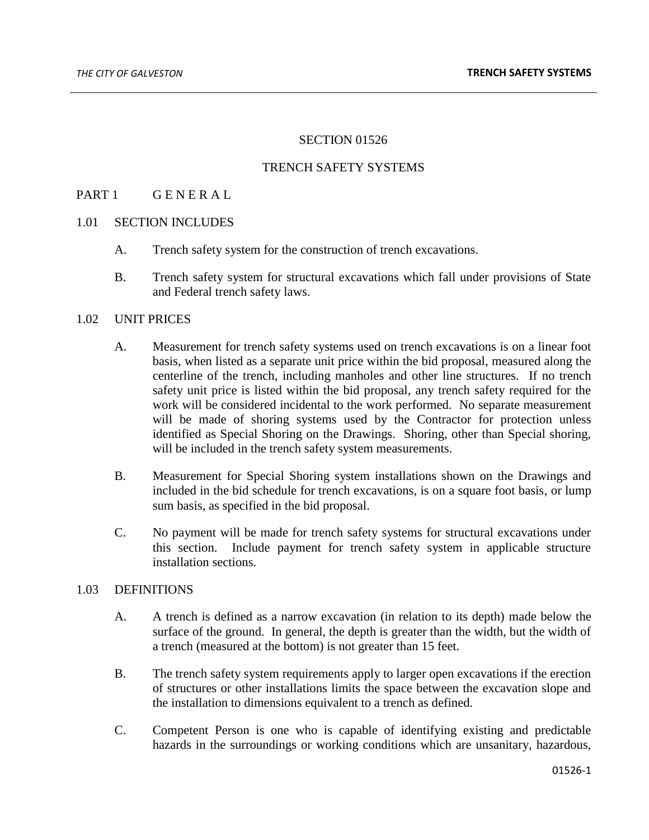### SECTION 01526

### TRENCH SAFETY SYSTEMS

## PART 1 GENERAL

### 1.01 SECTION INCLUDES

- A. Trench safety system for the construction of trench excavations.
- B. Trench safety system for structural excavations which fall under provisions of State and Federal trench safety laws.

### 1.02 UNIT PRICES

- A. Measurement for trench safety systems used on trench excavations is on a linear foot basis, when listed as a separate unit price within the bid proposal, measured along the centerline of the trench, including manholes and other line structures. If no trench safety unit price is listed within the bid proposal, any trench safety required for the work will be considered incidental to the work performed. No separate measurement will be made of shoring systems used by the Contractor for protection unless identified as Special Shoring on the Drawings. Shoring, other than Special shoring, will be included in the trench safety system measurements.
- B. Measurement for Special Shoring system installations shown on the Drawings and included in the bid schedule for trench excavations, is on a square foot basis, or lump sum basis, as specified in the bid proposal.
- C. No payment will be made for trench safety systems for structural excavations under this section. Include payment for trench safety system in applicable structure installation sections.

### 1.03 DEFINITIONS

- A. A trench is defined as a narrow excavation (in relation to its depth) made below the surface of the ground. In general, the depth is greater than the width, but the width of a trench (measured at the bottom) is not greater than 15 feet.
- B. The trench safety system requirements apply to larger open excavations if the erection of structures or other installations limits the space between the excavation slope and the installation to dimensions equivalent to a trench as defined.
- C. Competent Person is one who is capable of identifying existing and predictable hazards in the surroundings or working conditions which are unsanitary, hazardous,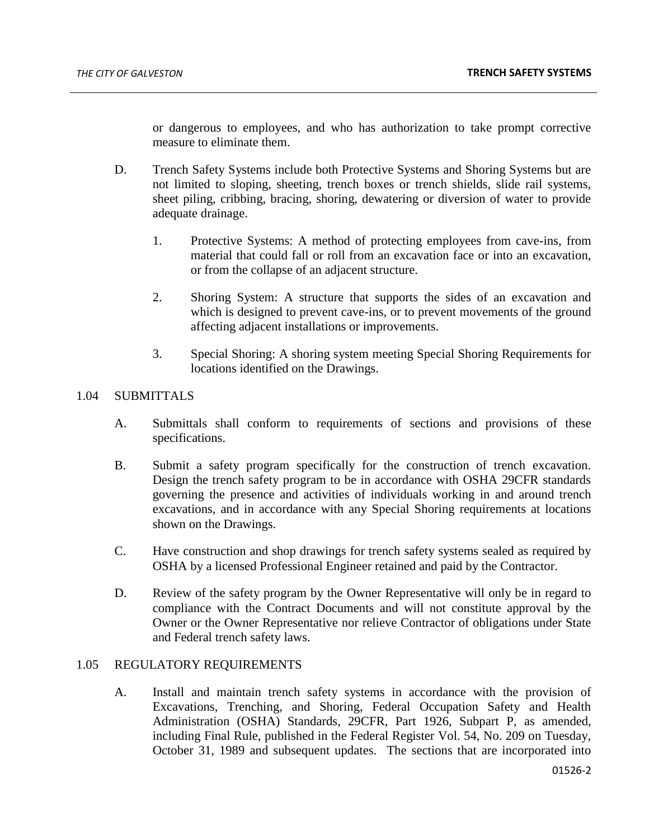or dangerous to employees, and who has authorization to take prompt corrective measure to eliminate them.

- D. Trench Safety Systems include both Protective Systems and Shoring Systems but are not limited to sloping, sheeting, trench boxes or trench shields, slide rail systems, sheet piling, cribbing, bracing, shoring, dewatering or diversion of water to provide adequate drainage.
	- 1. Protective Systems: A method of protecting employees from cave-ins, from material that could fall or roll from an excavation face or into an excavation, or from the collapse of an adjacent structure.
	- 2. Shoring System: A structure that supports the sides of an excavation and which is designed to prevent cave-ins, or to prevent movements of the ground affecting adjacent installations or improvements.
	- 3. Special Shoring: A shoring system meeting Special Shoring Requirements for locations identified on the Drawings.

### 1.04 SUBMITTALS

- A. Submittals shall conform to requirements of sections and provisions of these specifications.
- B. Submit a safety program specifically for the construction of trench excavation. Design the trench safety program to be in accordance with OSHA 29CFR standards governing the presence and activities of individuals working in and around trench excavations, and in accordance with any Special Shoring requirements at locations shown on the Drawings.
- C. Have construction and shop drawings for trench safety systems sealed as required by OSHA by a licensed Professional Engineer retained and paid by the Contractor.
- D. Review of the safety program by the Owner Representative will only be in regard to compliance with the Contract Documents and will not constitute approval by the Owner or the Owner Representative nor relieve Contractor of obligations under State and Federal trench safety laws.

# 1.05 REGULATORY REQUIREMENTS

A. Install and maintain trench safety systems in accordance with the provision of Excavations, Trenching, and Shoring, Federal Occupation Safety and Health Administration (OSHA) Standards, 29CFR, Part 1926, Subpart P, as amended, including Final Rule, published in the Federal Register Vol. 54, No. 209 on Tuesday, October 31, 1989 and subsequent updates. The sections that are incorporated into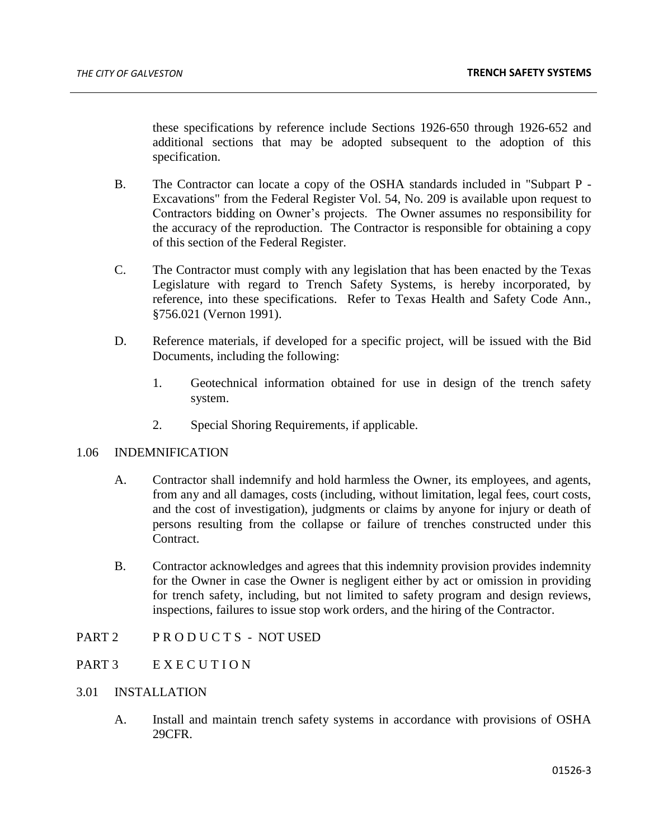these specifications by reference include Sections 1926-650 through 1926-652 and additional sections that may be adopted subsequent to the adoption of this specification.

- B. The Contractor can locate a copy of the OSHA standards included in "Subpart P Excavations" from the Federal Register Vol. 54, No. 209 is available upon request to Contractors bidding on Owner's projects. The Owner assumes no responsibility for the accuracy of the reproduction. The Contractor is responsible for obtaining a copy of this section of the Federal Register.
- C. The Contractor must comply with any legislation that has been enacted by the Texas Legislature with regard to Trench Safety Systems, is hereby incorporated, by reference, into these specifications. Refer to Texas Health and Safety Code Ann., §756.021 (Vernon 1991).
- D. Reference materials, if developed for a specific project, will be issued with the Bid Documents, including the following:
	- 1. Geotechnical information obtained for use in design of the trench safety system.
	- 2. Special Shoring Requirements, if applicable.

### 1.06 INDEMNIFICATION

- A. Contractor shall indemnify and hold harmless the Owner, its employees, and agents, from any and all damages, costs (including, without limitation, legal fees, court costs, and the cost of investigation), judgments or claims by anyone for injury or death of persons resulting from the collapse or failure of trenches constructed under this Contract.
- B. Contractor acknowledges and agrees that this indemnity provision provides indemnity for the Owner in case the Owner is negligent either by act or omission in providing for trench safety, including, but not limited to safety program and design reviews, inspections, failures to issue stop work orders, and the hiring of the Contractor.
- PART 2 PRODUCTS NOT USED

# PART 3 EXECUTION

### 3.01 INSTALLATION

A. Install and maintain trench safety systems in accordance with provisions of OSHA 29CFR.